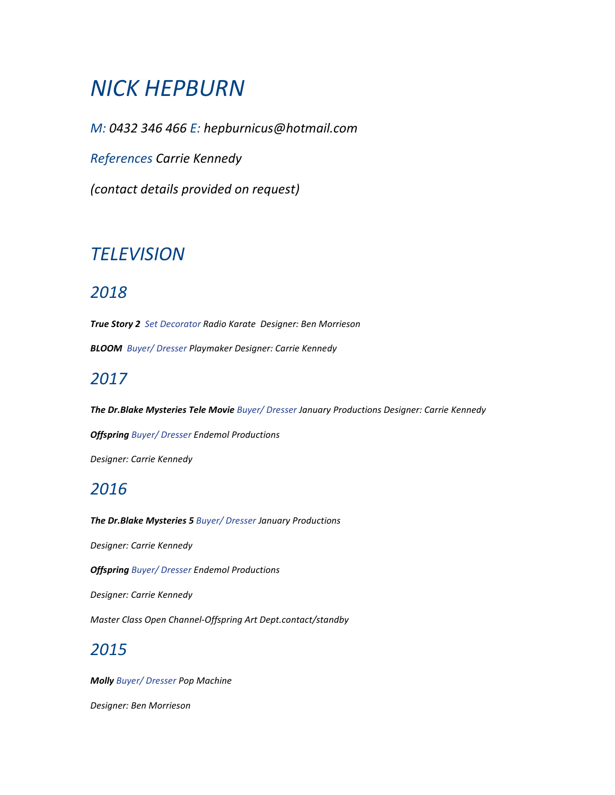# NICK HEPBURN

M: 0432 346 466 E: hepburnicus@hotmail.com

References Carrie Kennedy

(contact details provided on request)

## **TELEVISION**

### 2018

True Story 2 Set Decorator Radio Karate Designer: Ben Morrieson BLOOM Buyer/ Dresser Playmaker Designer: Carrie Kennedy

### 2017

The Dr.Blake Mysteries Tele Movie Buyer/ Dresser January Productions Designer: Carrie Kennedy

**Offspring** Buyer/ Dresser Endemol Productions

Designer: Carrie Kennedy

### 2016

The Dr.Blake Mysteries 5 Buyer/ Dresser January Productions

Designer: Carrie Kennedy

**Offspring** Buyer/ Dresser Endemol Productions

Designer: Carrie Kennedy

Master Class Open Channel-Offspring Art Dept.contact/standby

### 2015

**Molly** Buyer/ Dresser Pop Machine

Designer: Ben Morrieson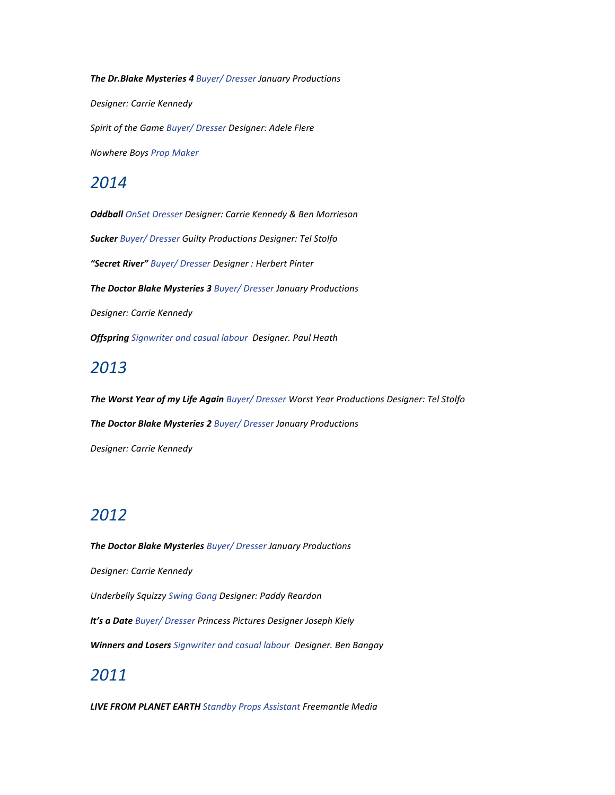The Dr.Blake Mysteries 4 Buyer/ Dresser January Productions

Designer: Carrie Kennedy

Spirit of the Game Buyer/ Dresser Designer: Adele Flere

Nowhere Boys Prop Maker

#### 2014

Oddball OnSet Dresser Designer: Carrie Kennedy & Ben Morrieson Sucker Buyer/ Dresser Guilty Productions Designer: Tel Stolfo "Secret River" Buyer/ Dresser Designer : Herbert Pinter The Doctor Blake Mysteries 3 Buyer/ Dresser January Productions Designer: Carrie Kennedy **Offspring** Signwriter and casual labour Designer. Paul Heath

### 2013

The Worst Year of my Life Again Buyer/ Dresser Worst Year Productions Designer: Tel Stolfo The Doctor Blake Mysteries 2 Buyer/ Dresser January Productions Designer: Carrie Kennedy

### 2012

The Doctor Blake Mysteries Buyer/ Dresser January Productions

Designer: Carrie Kennedy

Underbelly Squizzy Swing Gang Designer: Paddy Reardon

It's a Date Buyer/ Dresser Princess Pictures Designer Joseph Kiely

Winners and Losers Signwriter and casual labour Designer. Ben Bangay

### 2011

**LIVE FROM PLANET EARTH** Standby Props Assistant Freemantle Media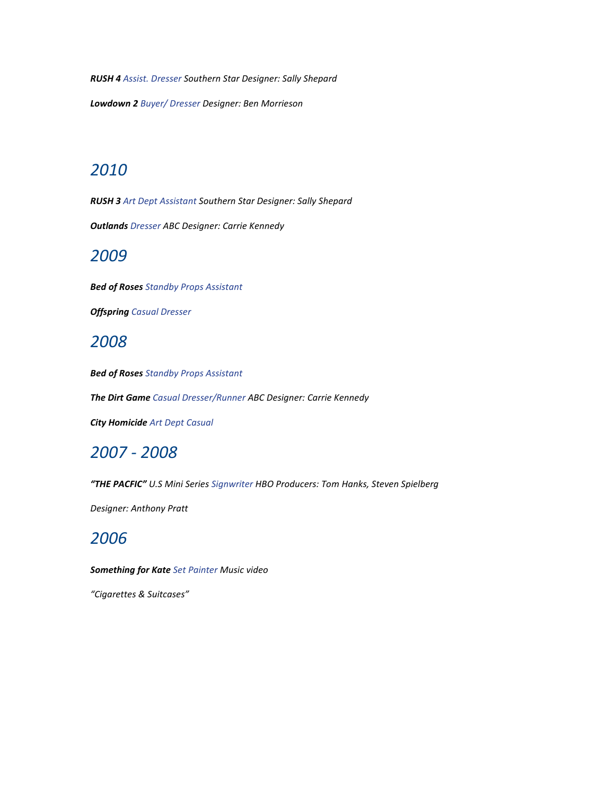RUSH 4 Assist. Dresser Southern Star Designer: Sally Shepard

Lowdown 2 Buyer/ Dresser Designer: Ben Morrieson

### 2010

RUSH 3 Art Dept Assistant Southern Star Designer: Sally Shepard

**Outlands** Dresser ABC Designer: Carrie Kennedy

#### 2009

**Bed of Roses** Standby Props Assistant

**Offspring Casual Dresser** 

#### 2008

**Bed of Roses** Standby Props Assistant

The Dirt Game Casual Dresser/Runner ABC Designer: Carrie Kennedy

**City Homicide Art Dept Casual** 

#### 2007 - 2008

"THE PACFIC" U.S Mini Series Signwriter HBO Producers: Tom Hanks, Steven Spielberg

Designer: Anthony Pratt

### 2006

**Something for Kate** Set Painter Music video

"Cigarettes & Suitcases"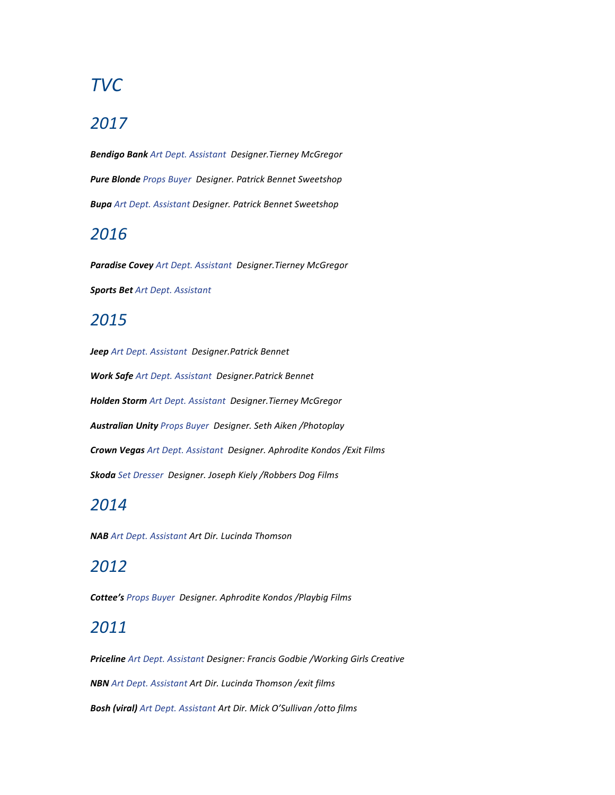## TVC

#### 2017

Bendigo Bank Art Dept. Assistant Designer.Tierney McGregor Pure Blonde Props Buyer Designer. Patrick Bennet Sweetshop Bupa Art Dept. Assistant Designer. Patrick Bennet Sweetshop

#### 2016

Paradise Covey Art Dept. Assistant Designer. Tierney McGregor Sports Bet Art Dept. Assistant

#### 2015

Jeep Art Dept. Assistant Designer. Patrick Bennet Work Safe Art Dept. Assistant Designer. Patrick Bennet Holden Storm Art Dept. Assistant Designer. Tierney McGregor Australian Unity Props Buyer Designer. Seth Aiken / Photoplay Crown Vegas Art Dept. Assistant Designer. Aphrodite Kondos / Exit Films Skoda Set Dresser Designer. Joseph Kiely /Robbers Dog Films

### 2014

NAB Art Dept. Assistant Art Dir. Lucinda Thomson

### 2012

Cottee's Props Buyer Designer. Aphrodite Kondos /Playbig Films

#### 2011

Priceline Art Dept. Assistant Designer: Francis Godbie /Working Girls Creative NBN Art Dept. Assistant Art Dir. Lucinda Thomson /exit films Bosh (viral) Art Dept. Assistant Art Dir. Mick O'Sullivan /otto films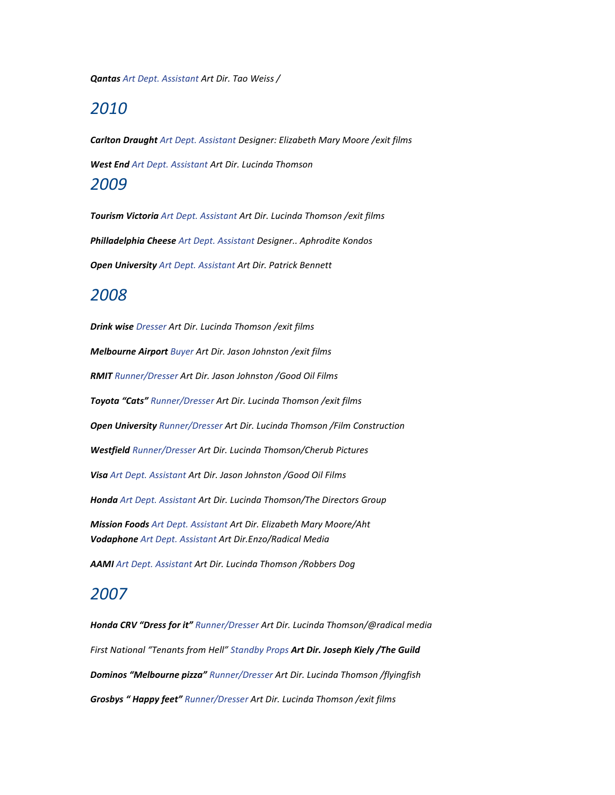Qantas Art Dept. Assistant Art Dir. Tao Weiss /

#### 2010

Carlton Draught Art Dept. Assistant Designer: Elizabeth Mary Moore / exit films West End Art Dept. Assistant Art Dir. Lucinda Thomson 2009

Tourism Victoria Art Dept. Assistant Art Dir. Lucinda Thomson / exit films Philladelphia Cheese Art Dept. Assistant Designer.. Aphrodite Kondos **Open University** Art Dept. Assistant Art Dir. Patrick Bennett

#### 2008

Drink wise Dresser Art Dir. Lucinda Thomson /exit films Melbourne Airport Buyer Art Dir. Jason Johnston /exit films RMIT Runner/Dresser Art Dir. Jason Johnston /Good Oil Films Toyota "Cats" Runner/Dresser Art Dir. Lucinda Thomson / exit films Open University Runner/Dresser Art Dir. Lucinda Thomson /Film Construction Westfield Runner/Dresser Art Dir. Lucinda Thomson/Cherub Pictures Visa Art Dept. Assistant Art Dir. Jason Johnston /Good Oil Films Honda Art Dept. Assistant Art Dir. Lucinda Thomson/The Directors Group Mission Foods Art Dept. Assistant Art Dir. Elizabeth Mary Moore/Aht Vodaphone Art Dept. Assistant Art Dir.Enzo/Radical Media AAMI Art Dept. Assistant Art Dir. Lucinda Thomson / Robbers Dog

#### 2007

Honda CRV "Dress for it" Runner/Dresser Art Dir. Lucinda Thomson/@radical media First National "Tenants from Hell" Standby Props Art Dir. Joseph Kiely /The Guild Dominos "Melbourne pizza" Runner/Dresser Art Dir. Lucinda Thomson /flyingfish Grosbys "Happy feet" Runner/Dresser Art Dir. Lucinda Thomson /exit films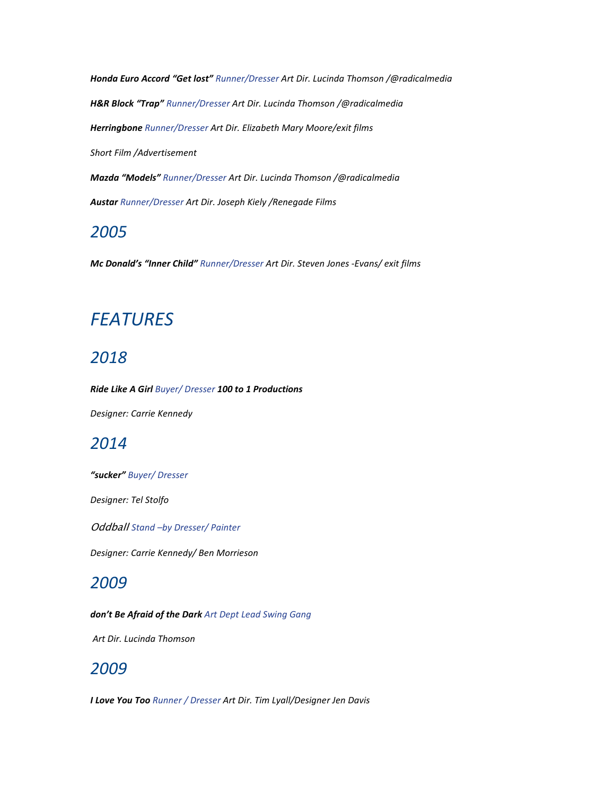Honda Euro Accord "Get lost" Runner/Dresser Art Dir. Lucinda Thomson /@radicalmedia H&R Block "Trap" Runner/Dresser Art Dir. Lucinda Thomson /@radicalmedia Herringbone Runner/Dresser Art Dir. Elizabeth Mary Moore/exit films Short Film /Advertisement Mazda "Models" Runner/Dresser Art Dir. Lucinda Thomson /@radicalmedia

Austar Runner/Dresser Art Dir. Joseph Kiely /Renegade Films

### 2005

Mc Donald's "Inner Child" Runner/Dresser Art Dir. Steven Jones -Evans/ exit films

## **FEATURES**

### 2018

Ride Like A Girl Buyer/ Dresser 100 to 1 Productions

Designer: Carrie Kennedy

### 2014

"sucker" Buyer/ Dresser

Designer: Tel Stolfo

Oddball Stand -by Dresser/ Painter

Designer: Carrie Kennedy/ Ben Morrieson

### 2009

don't Be Afraid of the Dark Art Dept Lead Swing Gang

Art Dir. Lucinda Thomson

#### 2009

I Love You Too Runner / Dresser Art Dir. Tim Lyall/Designer Jen Davis